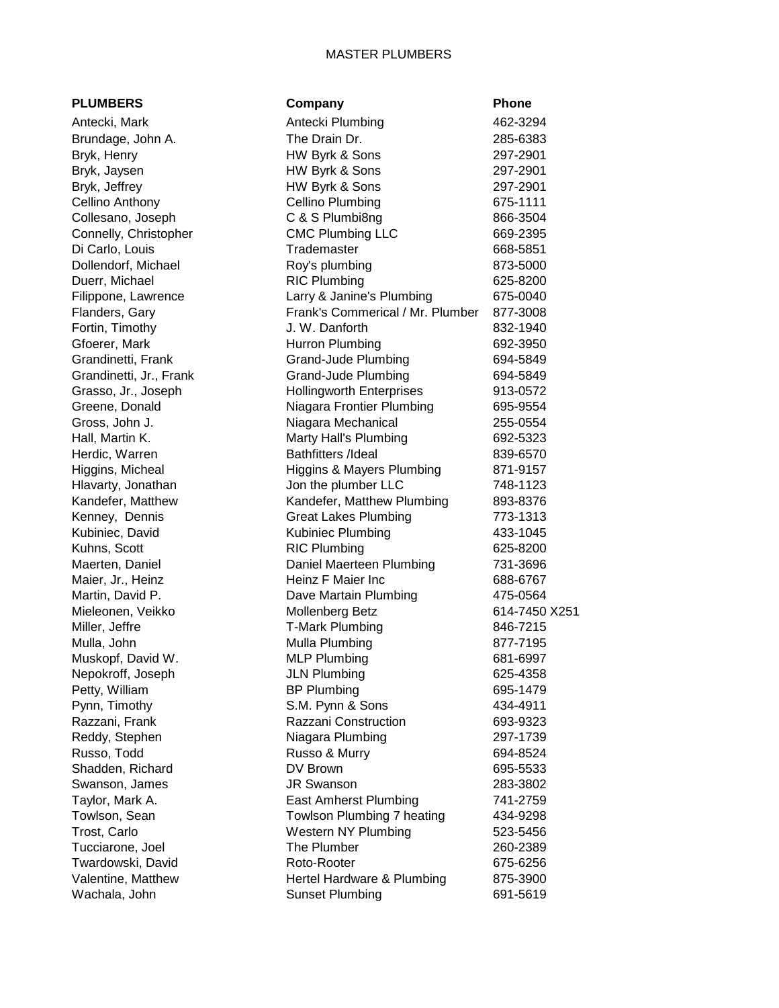## MASTER PLUMBERS

| <b>PLUMBERS</b>         | Company                              | Phone         |
|-------------------------|--------------------------------------|---------------|
| Antecki, Mark           | Antecki Plumbing                     | 462-3294      |
| Brundage, John A.       | The Drain Dr.                        | 285-6383      |
| Bryk, Henry             | HW Byrk & Sons                       | 297-2901      |
| Bryk, Jaysen            | HW Byrk & Sons                       | 297-2901      |
| Bryk, Jeffrey           | HW Byrk & Sons                       | 297-2901      |
| Cellino Anthony         | <b>Cellino Plumbing</b>              | 675-1111      |
| Collesano, Joseph       | C & S Plumbi8ng                      | 866-3504      |
| Connelly, Christopher   | <b>CMC Plumbing LLC</b>              | 669-2395      |
| Di Carlo, Louis         | Trademaster                          | 668-5851      |
| Dollendorf, Michael     | Roy's plumbing                       | 873-5000      |
| Duerr, Michael          | <b>RIC Plumbing</b>                  | 625-8200      |
| Filippone, Lawrence     | Larry & Janine's Plumbing            | 675-0040      |
| Flanders, Gary          | Frank's Commerical / Mr. Plumber     | 877-3008      |
| Fortin, Timothy         | J. W. Danforth                       | 832-1940      |
| Gfoerer, Mark           | Hurron Plumbing                      | 692-3950      |
| Grandinetti, Frank      | <b>Grand-Jude Plumbing</b>           | 694-5849      |
| Grandinetti, Jr., Frank | Grand-Jude Plumbing                  | 694-5849      |
| Grasso, Jr., Joseph     | <b>Hollingworth Enterprises</b>      | 913-0572      |
| Greene, Donald          | Niagara Frontier Plumbing            | 695-9554      |
| Gross, John J.          | Niagara Mechanical                   | 255-0554      |
| Hall, Martin K.         | Marty Hall's Plumbing                | 692-5323      |
| Herdic, Warren          | <b>Bathfitters /Ideal</b>            | 839-6570      |
| Higgins, Micheal        | <b>Higgins &amp; Mayers Plumbing</b> | 871-9157      |
| Hlavarty, Jonathan      | Jon the plumber LLC                  | 748-1123      |
| Kandefer, Matthew       | Kandefer, Matthew Plumbing           | 893-8376      |
| Kenney, Dennis          | <b>Great Lakes Plumbing</b>          | 773-1313      |
| Kubiniec, David         | Kubiniec Plumbing                    | 433-1045      |
| Kuhns, Scott            | <b>RIC Plumbing</b>                  | 625-8200      |
| Maerten, Daniel         | Daniel Maerteen Plumbing             | 731-3696      |
| Maier, Jr., Heinz       | Heinz F Maier Inc                    | 688-6767      |
| Martin, David P.        | Dave Martain Plumbing                | 475-0564      |
| Mieleonen, Veikko       | <b>Mollenberg Betz</b>               | 614-7450 X251 |
| Miller, Jeffre          | <b>T-Mark Plumbing</b>               | 846-7215      |
| Mulla, John             | Mulla Plumbing                       | 877-7195      |
| Muskopf, David W.       | <b>MLP Plumbing</b>                  | 681-6997      |
| Nepokroff, Joseph       | <b>JLN Plumbing</b>                  | 625-4358      |
| Petty, William          | <b>BP Plumbing</b>                   | 695-1479      |
| Pynn, Timothy           | S.M. Pynn & Sons                     | 434-4911      |
| Razzani, Frank          | Razzani Construction                 | 693-9323      |
| Reddy, Stephen          | Niagara Plumbing                     | 297-1739      |
| Russo, Todd             | Russo & Murry                        | 694-8524      |
| Shadden, Richard        | DV Brown                             | 695-5533      |
| Swanson, James          | <b>JR Swanson</b>                    | 283-3802      |
| Taylor, Mark A.         | East Amherst Plumbing                | 741-2759      |
| Towlson, Sean           | Towlson Plumbing 7 heating           | 434-9298      |
| Trost, Carlo            | Western NY Plumbing                  | 523-5456      |
| Tucciarone, Joel        | The Plumber                          | 260-2389      |
| Twardowski, David       | Roto-Rooter                          | 675-6256      |
| Valentine, Matthew      | Hertel Hardware & Plumbing           | 875-3900      |
| Wachala, John           | <b>Sunset Plumbing</b>               | 691-5619      |